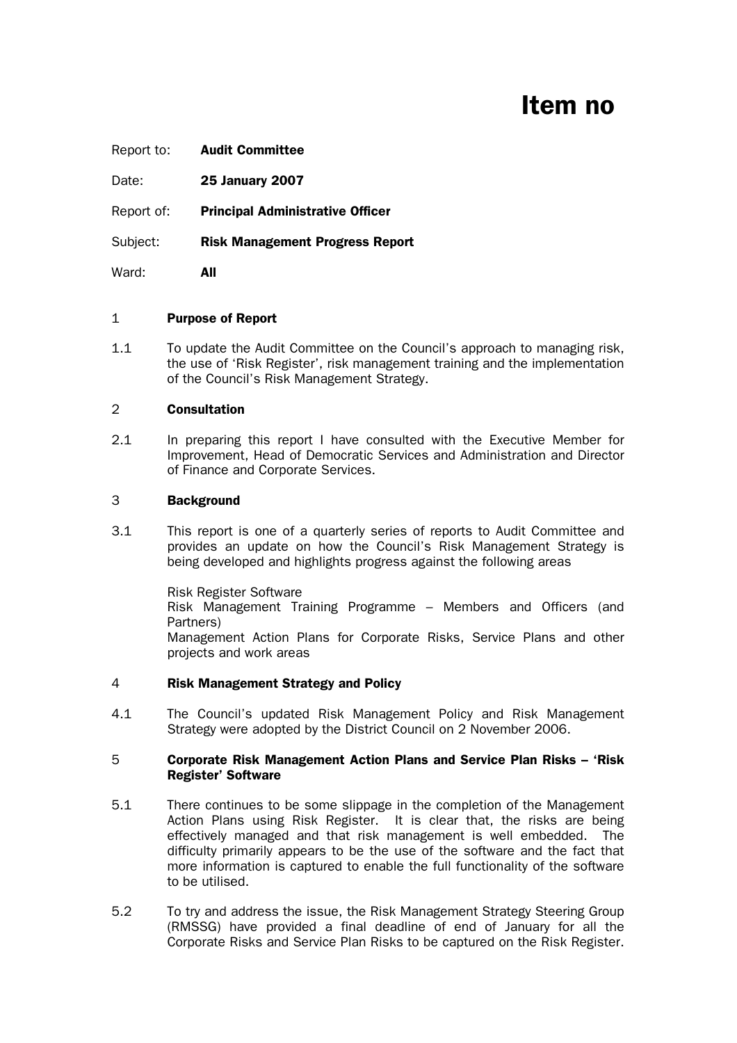# Item no

| Report to: | <b>Audit Committee</b>                  |
|------------|-----------------------------------------|
| Date:      | <b>25 January 2007</b>                  |
| Report of: | <b>Principal Administrative Officer</b> |
| Subject:   | <b>Risk Management Progress Report</b>  |
| Ward:      | All                                     |

## 1 Purpose of Report

1.1 To update the Audit Committee on the Council's approach to managing risk, the use of 'Risk Register', risk management training and the implementation of the Council's Risk Management Strategy.

#### 2 Consultation

2.1 In preparing this report I have consulted with the Executive Member for Improvement, Head of Democratic Services and Administration and Director of Finance and Corporate Services.

#### 3 Background

3.1 This report is one of a quarterly series of reports to Audit Committee and provides an update on how the Council's Risk Management Strategy is being developed and highlights progress against the following areas

> Risk Register Software Risk Management Training Programme – Members and Officers (and Partners) Management Action Plans for Corporate Risks, Service Plans and other projects and work areas

## 4 Risk Management Strategy and Policy

4.1 The Council's updated Risk Management Policy and Risk Management Strategy were adopted by the District Council on 2 November 2006.

#### 5 Corporate Risk Management Action Plans and Service Plan Risks – 'Risk Register' Software

- 5.1 There continues to be some slippage in the completion of the Management Action Plans using Risk Register. It is clear that, the risks are being effectively managed and that risk management is well embedded. The difficulty primarily appears to be the use of the software and the fact that more information is captured to enable the full functionality of the software to be utilised.
- 5.2 To try and address the issue, the Risk Management Strategy Steering Group (RMSSG) have provided a final deadline of end of January for all the Corporate Risks and Service Plan Risks to be captured on the Risk Register.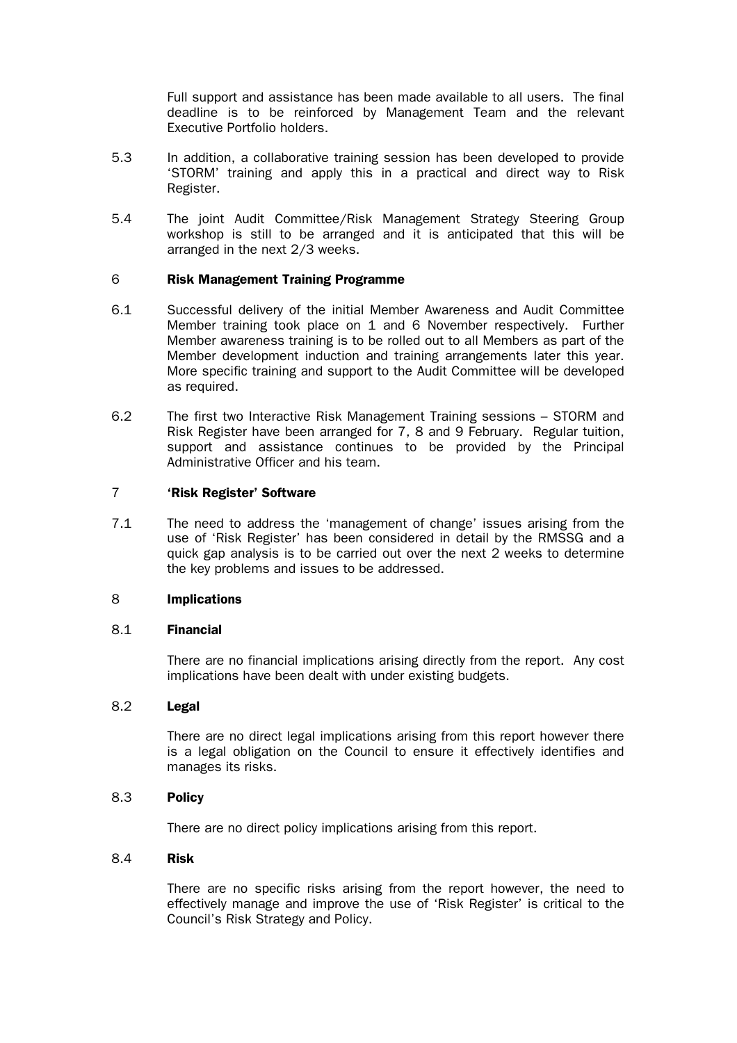Full support and assistance has been made available to all users. The final deadline is to be reinforced by Management Team and the relevant Executive Portfolio holders.

- 5.3 In addition, a collaborative training session has been developed to provide 'STORM' training and apply this in a practical and direct way to Risk Register.
- 5.4 The joint Audit Committee/Risk Management Strategy Steering Group workshop is still to be arranged and it is anticipated that this will be arranged in the next 2/3 weeks.

# 6 Risk Management Training Programme

- 6.1 Successful delivery of the initial Member Awareness and Audit Committee Member training took place on 1 and 6 November respectively. Further Member awareness training is to be rolled out to all Members as part of the Member development induction and training arrangements later this year. More specific training and support to the Audit Committee will be developed as required.
- 6.2 The first two Interactive Risk Management Training sessions STORM and Risk Register have been arranged for 7, 8 and 9 February. Regular tuition, support and assistance continues to be provided by the Principal Administrative Officer and his team.

## 7 'Risk Register' Software

7.1 The need to address the 'management of change' issues arising from the use of 'Risk Register' has been considered in detail by the RMSSG and a quick gap analysis is to be carried out over the next 2 weeks to determine the key problems and issues to be addressed.

## 8 Implications

## 8.1 Financial

 There are no financial implications arising directly from the report. Any cost implications have been dealt with under existing budgets.

## 8.2 Legal

 There are no direct legal implications arising from this report however there is a legal obligation on the Council to ensure it effectively identifies and manages its risks.

## 8.3 Policy

There are no direct policy implications arising from this report.

## 8.4 Risk

 There are no specific risks arising from the report however, the need to effectively manage and improve the use of 'Risk Register' is critical to the Council's Risk Strategy and Policy.